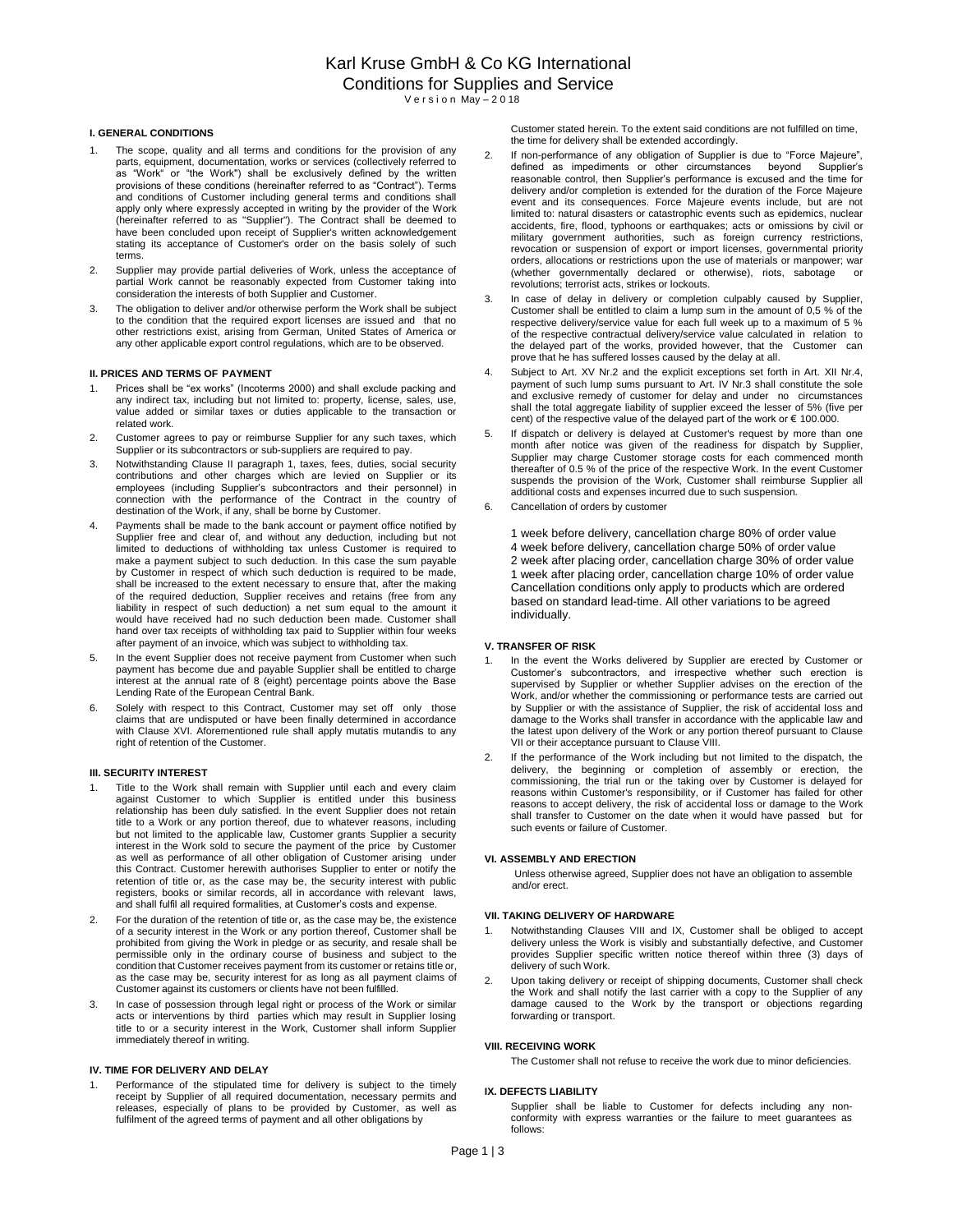# **I. GENERAL CONDITIONS**

- The scope, quality and all terms and conditions for the provision of any parts, equipment, documentation, works or services (collectively referred to as "Work" or "the Work") shall be exclusively defined by the written provisions of these conditions (hereinafter referred to as "Contract"). Terms and conditions of Customer including general terms and conditions shall apply only where expressly accepted in writing by the provider of the Work (hereinafter referred to as "Supplier"). The Contract shall be deemed to have been concluded upon receipt of Supplier's written acknowledgement stating its acceptance of Customer's order on the basis solely of such terms.
- 2. Supplier may provide partial deliveries of Work, unless the acceptance of partial Work cannot be reasonably expected from Customer taking into consideration the interests of both Supplier and Customer.
- 3. The obligation to deliver and/or otherwise perform the Work shall be subject to the condition that the required export licenses are issued and that no other restrictions exist, arising from German, United States of America or any other applicable export control regulations, which are to be observed.

## **II. PRICES AND TERMS OF PAYMENT**

- Prices shall be "ex works" (Incoterms 2000) and shall exclude packing and any indirect tax, including but not limited to: property, license, sales, use, value added or similar taxes or duties applicable to the transaction or related work.
- 2. Customer agrees to pay or reimburse Supplier for any such taxes, which Supplier or its subcontractors or sub-suppliers are required to pay.
- Notwithstanding Clause II paragraph 1, taxes, fees, duties, social security contributions and other charges which are levied on Supplier or its employees (including Supplier's subcontractors and their personnel) in connection with the performance of the Contract in the country of destination of the Work, if any, shall be borne by Customer.
- Payments shall be made to the bank account or payment office notified by Supplier free and clear of, and without any deduction, including but not limited to deductions of withholding tax unless Customer is required to make a payment subject to such deduction. In this case the sum payable by Customer in respect of which such deduction is required to be made, shall be increased to the extent necessary to ensure that, after the making of the required deduction, Supplier receives and retains (free from any liability in respect of such deduction) a net sum equal to the amount it would have received had no such deduction been made. Customer shall hand over tax receipts of withholding tax paid to Supplier within four weeks after payment of an invoice, which was subject to withholding tax.
- 5. In the event Supplier does not receive payment from Customer when such payment has become due and payable Supplier shall be entitled to charge interest at the annual rate of 8 (eight) percentage points above the Base Lending Rate of the European Central Bank.
- 6. Solely with respect to this Contract, Customer may set off only those claims that are undisputed or have been finally determined in accordance with Clause XVI. Aforementioned rule shall apply mutatis mutandis to any right of retention of the Customer.

## **III. SECURITY INTEREST**

- Title to the Work shall remain with Supplier until each and every claim against Customer to which Supplier is entitled under this business relationship has been duly satisfied. In the event Supplier does not retain title to a Work or any portion thereof, due to whatever reasons, including but not limited to the applicable law, Customer grants Supplier a security interest in the Work sold to secure the payment of the price by Customer as well as performance of all other obligation of Customer arising under this Contract. Customer herewith authorises Supplier to enter or notify the retention of title or, as the case may be, the security interest with public registers, books or similar records, all in accordance with relevant laws, and shall fulfil all required formalities, at Customer's costs and expense.
- 2. For the duration of the retention of title or, as the case may be, the existence of a security interest in the Work or any portion thereof, Customer shall be prohibited from giving the Work in pledge or as security, and resale shall be permissible only in the ordinary course of business and subject to the condition that Customer receives payment from its customer or retains title or, as the case may be, security interest for as long as all payment claims of Customer against its customers or clients have not been fulfilled.
- 3. In case of possession through legal right or process of the Work or similar acts or interventions by third parties which may result in Supplier losing title to or a security interest in the Work, Customer shall inform Supplier immediately thereof in writing.

#### **IV. TIME FOR DELIVERY AND DELAY**

1. Performance of the stipulated time for delivery is subject to the timely receipt by Supplier of all required documentation, necessary permits and releases, especially of plans to be provided by Customer, as well as fulfilment of the agreed terms of payment and all other obligations by

Customer stated herein. To the extent said conditions are not fulfilled on time, the time for delivery shall be extended accordingly.

- 2. If non-performance of any obligation of Supplier is due to "Force Majeure", defined as impediments or other circumstances beyond Supplier's reasonable control, then Supplier's performance is excused and the time for delivery and/or completion is extended for the duration of the Force Majeure event and its consequences. Force Majeure events include, but are not limited to: natural disasters or catastrophic events such as epidemics, nuclear accidents, fire, flood, typhoons or earthquakes; acts or omissions by civil or military government authorities, such as foreign currency restrictions, revocation or suspension of export or import licenses, governmental priority orders, allocations or restrictions upon the use of materials or manpower; war (whether governmentally declared or otherwise), riots, sabotage or revolutions; terrorist acts, strikes or lockouts.
- 3. In case of delay in delivery or completion culpably caused by Supplier, Customer shall be entitled to claim a lump sum in the amount of 0,5 % of the respective delivery/service value for each full week up to a maximum of 5 % of the respective contractual delivery/service value calculated in relation to the delayed part of the works, provided however, that the Customer can prove that he has suffered losses caused by the delay at all.
- 4. Subject to Art. XV Nr.2 and the explicit exceptions set forth in Art. XII Nr.4, payment of such lump sums pursuant to Art. IV Nr.3 shall constitute the sole and exclusive remedy of customer for delay and under no circumstances shall the total aggregate liability of supplier exceed the lesser of 5% (five per cent) of the respective value of the delayed part of the work or € 100.000.
- If dispatch or delivery is delayed at Customer's request by more than one month after notice was given of the readiness for dispatch by Supplier, Supplier may charge Customer storage costs for each commenced month thereafter of 0.5 % of the price of the respective Work. In the event Customer suspends the provision of the Work, Customer shall reimburse Supplier all additional costs and expenses incurred due to such suspension.
- 6. Cancellation of orders by customer

1 week before delivery, cancellation charge 80% of order value 4 week before delivery, cancellation charge 50% of order value 2 week after placing order, cancellation charge 30% of order value 1 week after placing order, cancellation charge 10% of order value Cancellation conditions only apply to products which are ordered based on standard lead-time. All other variations to be agreed individually.

# **V. TRANSFER OF RISK**

- In the event the Works delivered by Supplier are erected by Customer or Customer's subcontractors, and irrespective whether such erection is supervised by Supplier or whether Supplier advises on the erection of the Work, and/or whether the commissioning or performance tests are carried out by Supplier or with the assistance of Supplier, the risk of accidental loss and damage to the Works shall transfer in accordance with the applicable law and the latest upon delivery of the Work or any portion thereof pursuant to Clause VII or their acceptance pursuant to Clause VIII.
- 2. If the performance of the Work including but not limited to the dispatch, the delivery, the beginning or completion of assembly or erection, the commissioning, the trial run or the taking over by Customer is delayed for reasons within Customer's responsibility, or if Customer has failed for other reasons to accept delivery, the risk of accidental loss or damage to the Work shall transfer to Customer on the date when it would have passed but for such events or failure of Customer.

### **VI. ASSEMBLY AND ERECTION**

Unless otherwise agreed, Supplier does not have an obligation to assemble and/or erect.

### **VII. TAKING DELIVERY OF HARDWARE**

- Notwithstanding Clauses VIII and IX, Customer shall be obliged to accept delivery unless the Work is visibly and substantially defective, and Customer provides Supplier specific written notice thereof within three (3) days of delivery of such Work.
- 2. Upon taking delivery or receipt of shipping documents, Customer shall check the Work and shall notify the last carrier with a copy to the Supplier of any damage caused to the Work by the transport or objections regarding forwarding or transport.

#### **VIII. RECEIVING WORK**

The Customer shall not refuse to receive the work due to minor deficiencies.

#### **IX. DEFECTS LIABILITY**

Supplier shall be liable to Customer for defects including any nonconformity with express warranties or the failure to meet guarantees as follows: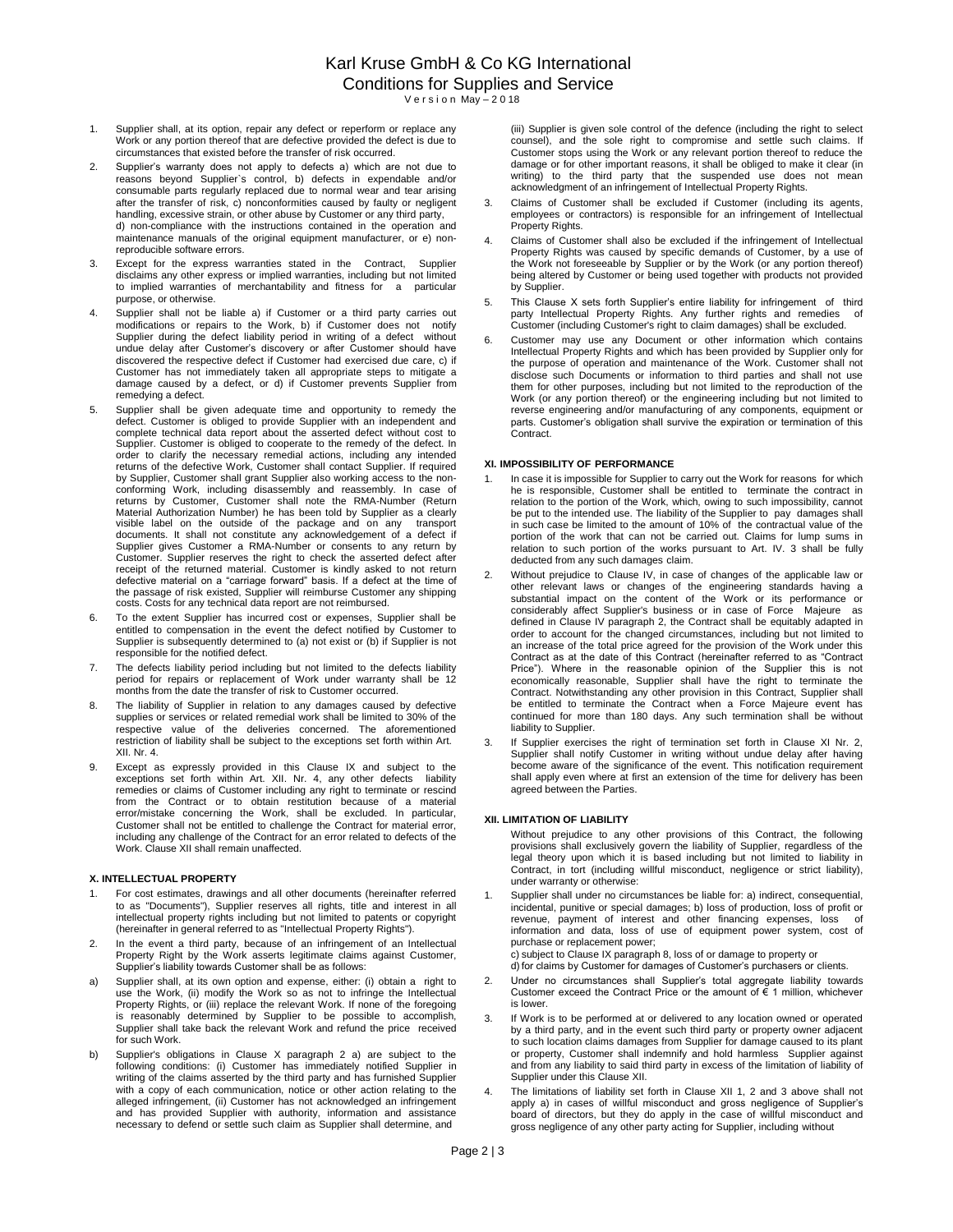- 1. Supplier shall, at its option, repair any defect or reperform or replace any Work or any portion thereof that are defective provided the defect is due to circumstances that existed before the transfer of risk occurred.
- 2. Supplier's warranty does not apply to defects a) which are not due to reasons beyond Supplier`s control, b) defects in expendable and/or consumable parts regularly replaced due to normal wear and tear arising after the transfer of risk, c) nonconformities caused by faulty or negligent handling, excessive strain, or other abuse by Customer or any third party, d) non-compliance with the instructions contained in the operation and maintenance manuals of the original equipment manufacturer, or e) nonreproducible software errors.
- 3. Except for the express warranties stated in the Contract, Supplier disclaims any other express or implied warranties, including but not limited to implied warranties of merchantability and fitness for a particular purpose, or otherwise.
- 4. Supplier shall not be liable a) if Customer or a third party carries out modifications or repairs to the Work, b) if Customer does not notify Supplier during the defect liability period in writing of a defect without undue delay after Customer's discovery or after Customer should have discovered the respective defect if Customer had exercised due care, c) if Customer has not immediately taken all appropriate steps to mitigate a damage caused by a defect, or d) if Customer prevents Supplier from remedying a defect.
- 5. Supplier shall be given adequate time and opportunity to remedy the defect. Customer is obliged to provide Supplier with an independent and complete technical data report about the asserted defect without cost to Supplier. Customer is obliged to cooperate to the remedy of the defect. In order to clarify the necessary remedial actions, including any intended returns of the defective Work, Customer shall contact Supplier. If required by Supplier, Customer shall grant Supplier also working access to the nonconforming Work, including disassembly and reassembly. In case of returns by Customer, Customer shall note the RMA-Number (Return Material Authorization Number) he has been told by Supplier as a clearly visible label on the outside of the package and on any transport documents. It shall not constitute any acknowledgement of a defect if Supplier gives Customer a RMA-Number or consents to any return by Customer. Supplier reserves the right to check the asserted defect after receipt of the returned material. Customer is kindly asked to not return defective material on a "carriage forward" basis. If a defect at the time of the passage of risk existed, Supplier will reimburse Customer any shipping costs. Costs for any technical data report are not reimbursed.
- 6. To the extent Supplier has incurred cost or expenses, Supplier shall be entitled to compensation in the event the defect notified by Customer to Supplier is subsequently determined to (a) not exist or (b) if Supplier is not responsible for the notified defect.
- 7. The defects liability period including but not limited to the defects liability period for repairs or replacement of Work under warranty shall be 12 months from the date the transfer of risk to Customer occurred.
- 8. The liability of Supplier in relation to any damages caused by defective supplies or services or related remedial work shall be limited to 30% of the respective value of the deliveries concerned. The aforementioned restriction of liability shall be subject to the exceptions set forth within Art. XII. Nr. 4.
- 9. Except as expressly provided in this Clause IX and subject to the exceptions set forth within Art. XII. Nr. 4, any other defects liability remedies or claims of Customer including any right to terminate or rescind from the Contract or to obtain restitution because of a material error/mistake concerning the Work, shall be excluded. In particular, Customer shall not be entitled to challenge the Contract for material error, including any challenge of the Contract for an error related to defects of the Work. Clause XII shall remain unaffected.

# **X. INTELLECTUAL PROPERTY**

- 1. For cost estimates, drawings and all other documents (hereinafter referred to as "Documents"), Supplier reserves all rights, title and interest in all intellectual property rights including but not limited to patents or copyright (hereinafter in general referred to as "Intellectual Property Rights").
- 2. In the event a third party, because of an infringement of an Intellectual Property Right by the Work asserts legitimate claims against Customer, Supplier's liability towards Customer shall be as follows:
- Supplier shall, at its own option and expense, either: (i) obtain a right to use the Work, (ii) modify the Work so as not to infringe the Intellectual Property Rights, or (iii) replace the relevant Work. If none of the foregoing is reasonably determined by Supplier to be possible to accomplish, Supplier shall take back the relevant Work and refund the price received for such Work.
- Supplier's obligations in Clause X paragraph 2 a) are subject to the following conditions: (i) Customer has immediately notified Supplier in writing of the claims asserted by the third party and has furnished Supplier with a copy of each communication, notice or other action relating to the alleged infringement, (ii) Customer has not acknowledged an infringement and has provided Supplier with authority, information and assistance necessary to defend or settle such claim as Supplier shall determine, and

(iii) Supplier is given sole control of the defence (including the right to select counsel), and the sole right to compromise and settle such claims. If Customer stops using the Work or any relevant portion thereof to reduce the damage or for other important reasons, it shall be obliged to make it clear (in writing) to the third party that the suspended use does not mean acknowledgment of an infringement of Intellectual Property Rights.

- 3. Claims of Customer shall be excluded if Customer (including its agents, employees or contractors) is responsible for an infringement of Intellectual Property Rights.
- 4. Claims of Customer shall also be excluded if the infringement of Intellectual Property Rights was caused by specific demands of Customer, by a use of the Work not foreseeable by Supplier or by the Work (or any portion thereof) being altered by Customer or being used together with products not provided by Supplier.
- This Clause X sets forth Supplier's entire liability for infringement of third party Intellectual Property Rights. Any further rights and remedies of Customer (including Customer's right to claim damages) shall be excluded.
- Customer may use any Document or other information which contains Intellectual Property Rights and which has been provided by Supplier only for the purpose of operation and maintenance of the Work. Customer shall not disclose such Documents or information to third parties and shall not use them for other purposes, including but not limited to the reproduction of the Work (or any portion thereof) or the engineering including but not limited to reverse engineering and/or manufacturing of any components, equipment or parts. Customer's obligation shall survive the expiration or termination of this Contract.

# **XI. IMPOSSIBILITY OF PERFORMANCE**

- In case it is impossible for Supplier to carry out the Work for reasons for which he is responsible, Customer shall be entitled to terminate the contract in relation to the portion of the Work, which, owing to such impossibility, cannot be put to the intended use. The liability of the Supplier to pay damages shall in such case be limited to the amount of 10% of the contractual value of the portion of the work that can not be carried out. Claims for lump sums in relation to such portion of the works pursuant to Art. IV. 3 shall be fully deducted from any such damages claim.
- Without prejudice to Clause IV, in case of changes of the applicable law or other relevant laws or changes of the engineering standards having a substantial impact on the content of the Work or its performance or considerably affect Supplier's business or in case of Force Majeure as defined in Clause IV paragraph 2, the Contract shall be equitably adapted in order to account for the changed circumstances, including but not limited to an increase of the total price agreed for the provision of the Work under this Contract as at the date of this Contract (hereinafter referred to as "Contract Price"). Where in the reasonable opinion of the Supplier this is not economically reasonable, Supplier shall have the right to terminate the Contract. Notwithstanding any other provision in this Contract, Supplier shall be entitled to terminate the Contract when a Force Majeure event has continued for more than 180 days. Any such termination shall be without liability to Supplier.
- 3. If Supplier exercises the right of termination set forth in Clause XI Nr. 2, Supplier shall notify Customer in writing without undue delay after having become aware of the significance of the event. This notification requirement shall apply even where at first an extension of the time for delivery has been agreed between the Parties.

## **XII. LIMITATION OF LIABILITY**

Without prejudice to any other provisions of this Contract, the following provisions shall exclusively govern the liability of Supplier, regardless of the legal theory upon which it is based including but not limited to liability in Contract, in tort (including willful misconduct, negligence or strict liability), under warranty or otherwise:

1. Supplier shall under no circumstances be liable for: a) indirect, consequential, incidental, punitive or special damages; b) loss of production, loss of profit or revenue, payment of interest and other financing expenses, loss information and data, loss of use of equipment power system, cost of purchase or replacement power;

c) subject to Clause IX paragraph 8, loss of or damage to property or d) for claims by Customer for damages of Customer's purchasers or clients.

- 2. Under no circumstances shall Supplier's total aggregate liability towards Customer exceed the Contract Price or the amount of  $\epsilon$  1 million, whichever is lower.
- If Work is to be performed at or delivered to any location owned or operated by a third party, and in the event such third party or property owner adjacent to such location claims damages from Supplier for damage caused to its plant or property, Customer shall indemnify and hold harmless Supplier against and from any liability to said third party in excess of the limitation of liability of Supplier under this Clause XII.
- 4. The limitations of liability set forth in Clause XII 1, 2 and 3 above shall not apply a) in cases of willful misconduct and gross negligence of Supplier's board of directors, but they do apply in the case of willful misconduct and gross negligence of any other party acting for Supplier, including without